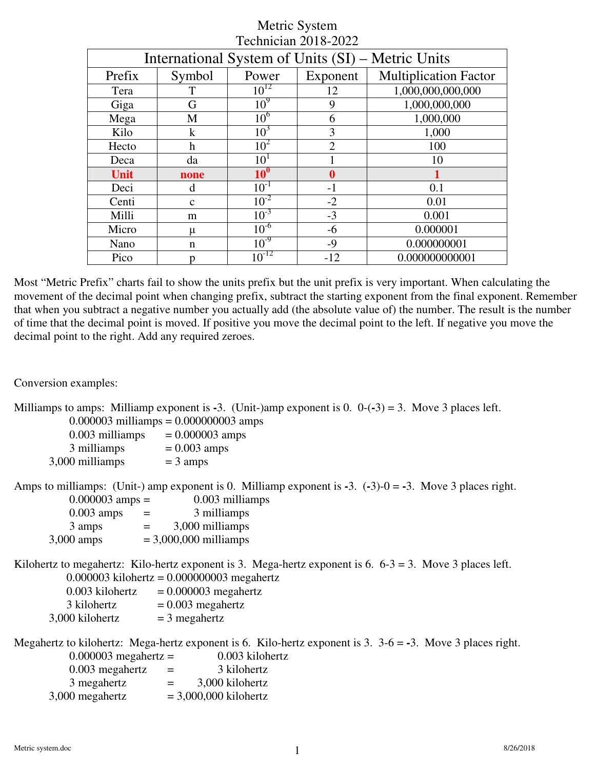| International System of Units (SI) – Metric Units |                           |                 |                |                              |  |
|---------------------------------------------------|---------------------------|-----------------|----------------|------------------------------|--|
| Prefix                                            | Symbol                    | Power           | Exponent       | <b>Multiplication Factor</b> |  |
| Tera                                              | T                         | $10^{12}$       | 12             | 1,000,000,000,000            |  |
| Giga                                              | G                         | 10 <sup>9</sup> | 9              | 1,000,000,000                |  |
| Mega                                              | M                         | 10 <sup>6</sup> | 6              | 1,000,000                    |  |
| Kilo                                              | $\bf k$                   | 10 <sup>3</sup> | 3              | 1,000                        |  |
| Hecto                                             | $\boldsymbol{\mathrm{h}}$ | 10 <sup>2</sup> | $\overline{2}$ | 100                          |  |
| Deca                                              | da                        | 10 <sup>1</sup> |                | 10                           |  |
| Unit                                              | none                      | $10^0$          | $\bf{0}$       |                              |  |
| Deci                                              | d                         | $10^{-1}$       | $-1$           | 0.1                          |  |
| Centi                                             | $\mathbf{C}$              | $10^{-2}$       | $-2$           | 0.01                         |  |
| Milli                                             | m                         | $10^{-3}$       | $-3$           | 0.001                        |  |
| Micro                                             | μ                         | $10^{-6}$       | $-6$           | 0.000001                     |  |
| Nano                                              | $\mathsf{n}$              | $10^{-9}$       | $-9$           | 0.000000001                  |  |
| Pico                                              | n                         | $10^{-12}$      | $-12$          | 0.000000000001               |  |

Most "Metric Prefix" charts fail to show the units prefix but the unit prefix is very important. When calculating the movement of the decimal point when changing prefix, subtract the starting exponent from the final exponent. Remember that when you subtract a negative number you actually add (the absolute value of) the number. The result is the number of time that the decimal point is moved. If positive you move the decimal point to the left. If negative you move the decimal point to the right. Add any required zeroes.

Conversion examples:

|                   | Milliamps to amps: Milliamp exponent is -3. (Unit-)amp exponent is 0. $0$ -(-3) = 3. Move 3 places left.                                                                                                                                                                                                                                      |
|-------------------|-----------------------------------------------------------------------------------------------------------------------------------------------------------------------------------------------------------------------------------------------------------------------------------------------------------------------------------------------|
|                   | $0.000003$ milliamps = 0.000000003 amps                                                                                                                                                                                                                                                                                                       |
| $0.003$ milliamps | $= 0.000003$ amps                                                                                                                                                                                                                                                                                                                             |
| 3 milliamps       | $= 0.003$ amps                                                                                                                                                                                                                                                                                                                                |
| 3,000 milliamps   | $=$ 3 amps                                                                                                                                                                                                                                                                                                                                    |
|                   | $\Omega$ M <sub>str</sub> $\Omega$ H <sub>str</sub> $\Omega$<br>A consider a set of $\mathbf{I}$ . The set of $\mathbf{I}$ is a constant of $\mathbf{I}$ and $\mathbf{I}$ and $\mathbf{I}$ and $\mathbf{I}$ are constant of $\mathbf{I}$ and $\mathbf{I}$ and $\mathbf{I}$ are constant of $\mathbf{I}$ and $\mathbf{I}$ and $\mathbf{I}$ are |

Amps to milliamps: (Unit-) amp exponent is 0. Milliamp exponent is **-**3. (**-**3)-0 = **-**3. Move 3 places right.  $0.000003$  amps =  $0.003$  milliamps

| $0.000003$ allips $=$ |     | О.ООЭ ШШПа              |
|-----------------------|-----|-------------------------|
| $0.003$ amps          | $=$ | 3 milliamps             |
| 3 amps                | $=$ | 3,000 milliamps         |
| $3,000$ amps          |     | $= 3,000,000$ milliamps |

Kilohertz to megahertz: Kilo-hertz exponent is 3. Mega-hertz exponent is 6. 6-3 = 3. Move 3 places left. 0.000003 kilohertz = 0.000000003 megahertz

 $0.003$  kilohertz =  $0.000003$  megahertz  $3$  kilohertz  $= 0.003$  megahertz  $3,000$  kilohertz = 3 megahertz

Megahertz to kilohertz: Mega-hertz exponent is 6. Kilo-hertz exponent is 3.  $3-6 = -3$ . Move 3 places right.<br>0.00003 megahertz = 0.003 kilohertz  $0.000003$  megahertz  $-$ 

| $0.000000$ inegative $-$ |     | <b>U.UUJ MIUIK</b>      |
|--------------------------|-----|-------------------------|
| $0.003$ megahertz        | $=$ | 3 kilohertz             |
| 3 megahertz              | $=$ | 3,000 kilohertz         |
| 3,000 megahertz          |     | $= 3,000,000$ kilohertz |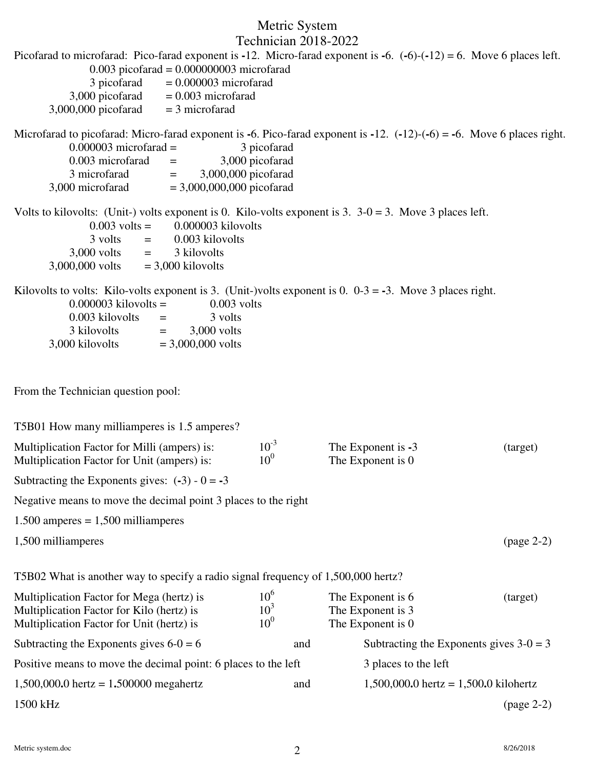| Picofarad to microfarad: Pico-farad exponent is -12. Micro-farad exponent is -6. $(-6)-(-12) = 6$ . Move 6 places left.<br>$0.003$ picofarad = $0.000000003$ microfarad<br>3 picofarad<br>$= 0.000003$ microfarad<br>3,000 picofarad<br>$= 0.003$ microfarad<br>3,000,000 picofarad<br>$=$ 3 microfarad         |                                                       |                                                             |            |
|-----------------------------------------------------------------------------------------------------------------------------------------------------------------------------------------------------------------------------------------------------------------------------------------------------------------|-------------------------------------------------------|-------------------------------------------------------------|------------|
| Microfarad to picofarad: Micro-farad exponent is -6. Pico-farad exponent is -12. $(-12)-(-6) = -6$ . Move 6 places right.<br>$0.000003$ microfarad =<br>0.003 microfarad<br>$=$<br>3,000,000 picofarad<br>3 microfarad<br>$\equiv$ $\equiv$<br>$= 3,000,000,000$ picofarad<br>3,000 microfarad                  | 3 picofarad<br>3,000 picofarad                        |                                                             |            |
| Volts to kilovolts: (Unit-) volts exponent is 0. Kilo-volts exponent is 3. $3-0=3$ . Move 3 places left.<br>0.000003 kilovolts<br>$0.003$ volts =<br>0.003 kilovolts<br>3 volts<br>$=$<br>$3,000$ volts =<br>3 kilovolts<br>3,000,000 volts<br>$=$ 3,000 kilovolts                                              |                                                       |                                                             |            |
| Kilovolts to volts: Kilo-volts exponent is 3. (Unit-)volts exponent is 0. $0-3 = -3$ . Move 3 places right.<br>$0.000003$ kilovolts =<br>$0.003$ volts<br>0.003 kilovolts<br>3 volts<br>$\equiv 1.00000$ and $\sim 1.0000$<br>3 kilovolts<br>$=$ $-$<br>$3,000$ volts<br>3,000 kilovolts<br>$= 3,000,000$ volts |                                                       |                                                             |            |
| From the Technician question pool:                                                                                                                                                                                                                                                                              |                                                       |                                                             |            |
| T5B01 How many milliamperes is 1.5 amperes?                                                                                                                                                                                                                                                                     |                                                       |                                                             |            |
| Multiplication Factor for Milli (ampers) is:<br>Multiplication Factor for Unit (ampers) is:                                                                                                                                                                                                                     | $10^{-3}$<br>10 <sup>0</sup>                          | The Exponent is -3<br>The Exponent is 0                     | (target)   |
| Subtracting the Exponents gives: $(-3) - 0 = -3$                                                                                                                                                                                                                                                                |                                                       |                                                             |            |
| Negative means to move the decimal point 3 places to the right                                                                                                                                                                                                                                                  |                                                       |                                                             |            |
| $1.500$ amperes = 1,500 milliamperes                                                                                                                                                                                                                                                                            |                                                       |                                                             |            |
| 1,500 milliamperes                                                                                                                                                                                                                                                                                              |                                                       |                                                             | (page 2-2) |
| T5B02 What is another way to specify a radio signal frequency of 1,500,000 hertz?                                                                                                                                                                                                                               |                                                       |                                                             |            |
| Multiplication Factor for Mega (hertz) is<br>Multiplication Factor for Kilo (hertz) is<br>Multiplication Factor for Unit (hertz) is                                                                                                                                                                             | 10 <sup>6</sup><br>10 <sup>3</sup><br>10 <sup>0</sup> | The Exponent is 6<br>The Exponent is 3<br>The Exponent is 0 | (target)   |
| Subtracting the Exponents gives $6-0=6$                                                                                                                                                                                                                                                                         | and                                                   | Subtracting the Exponents gives $3-0=3$                     |            |
| Positive means to move the decimal point: 6 places to the left                                                                                                                                                                                                                                                  |                                                       | 3 places to the left                                        |            |
| 1,500,000.0 hertz = $1.500000$ megahertz                                                                                                                                                                                                                                                                        | and                                                   | 1,500,000.0 hertz = $1,500.0$ kilohertz                     |            |
| 1500 kHz                                                                                                                                                                                                                                                                                                        |                                                       |                                                             | (page 2-2) |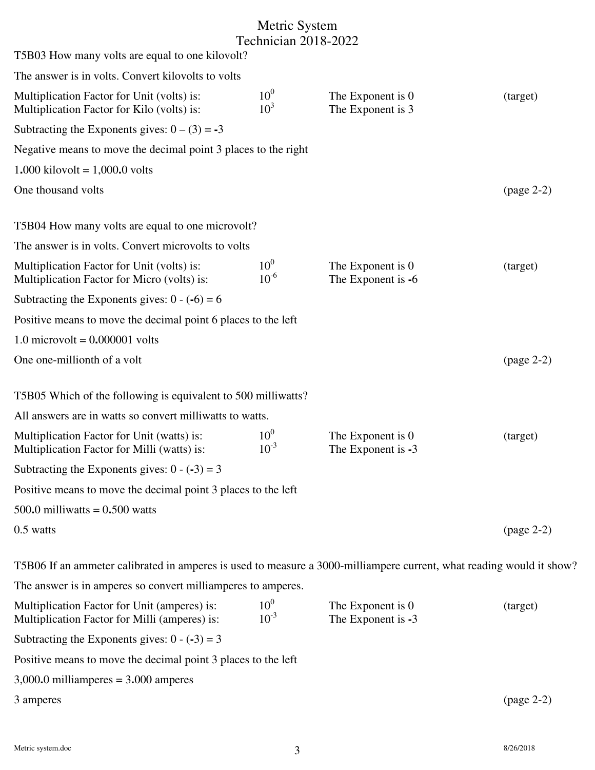| T5B03 How many volts are equal to one kilovolt?                                                                      |                                    |                                         |            |
|----------------------------------------------------------------------------------------------------------------------|------------------------------------|-----------------------------------------|------------|
| The answer is in volts. Convert kilovolts to volts                                                                   |                                    |                                         |            |
| Multiplication Factor for Unit (volts) is:<br>Multiplication Factor for Kilo (volts) is:                             | 10 <sup>0</sup><br>10 <sup>3</sup> | The Exponent is 0<br>The Exponent is 3  | (target)   |
| Subtracting the Exponents gives: $0 - (3) = -3$                                                                      |                                    |                                         |            |
| Negative means to move the decimal point 3 places to the right                                                       |                                    |                                         |            |
| $1.000$ kilovolt = 1,000.0 volts                                                                                     |                                    |                                         |            |
| One thousand volts                                                                                                   |                                    |                                         | (page 2-2) |
| T5B04 How many volts are equal to one microvolt?                                                                     |                                    |                                         |            |
| The answer is in volts. Convert microvolts to volts                                                                  |                                    |                                         |            |
| Multiplication Factor for Unit (volts) is:<br>Multiplication Factor for Micro (volts) is:                            | 10 <sup>0</sup><br>$10^{-6}$       | The Exponent is 0<br>The Exponent is -6 | (target)   |
| Subtracting the Exponents gives: $0 - (-6) = 6$                                                                      |                                    |                                         |            |
| Positive means to move the decimal point 6 places to the left                                                        |                                    |                                         |            |
| 1.0 microvolt = $0.000001$ volts                                                                                     |                                    |                                         |            |
| One one-millionth of a volt                                                                                          |                                    |                                         | (page 2-2) |
| T5B05 Which of the following is equivalent to 500 milliwatts?                                                        |                                    |                                         |            |
| All answers are in watts so convert milliwatts to watts.                                                             |                                    |                                         |            |
| Multiplication Factor for Unit (watts) is:<br>Multiplication Factor for Milli (watts) is:                            | 10 <sup>0</sup><br>$10^{-3}$       | The Exponent is 0<br>The Exponent is -3 | (target)   |
| Subtracting the Exponents gives: $0 - (-3) = 3$                                                                      |                                    |                                         |            |
| Positive means to move the decimal point 3 places to the left                                                        |                                    |                                         |            |
| 500.0 milliwatts = $0.500$ watts                                                                                     |                                    |                                         |            |
| 0.5 watts                                                                                                            |                                    |                                         | (page 2-2) |
| T5B06 If an ammeter calibrated in amperes is used to measure a 3000-milliampere current, what reading would it show? |                                    |                                         |            |
| The answer is in amperes so convert milliamperes to amperes.                                                         |                                    |                                         |            |
| Multiplication Factor for Unit (amperes) is:<br>Multiplication Factor for Milli (amperes) is:                        | 10 <sup>0</sup><br>$10^{-3}$       | The Exponent is 0<br>The Exponent is -3 | (target)   |
| Subtracting the Exponents gives: $0 - (-3) = 3$                                                                      |                                    |                                         |            |
| Positive means to move the decimal point 3 places to the left                                                        |                                    |                                         |            |
| $3,000.0$ milliamperes = $3.000$ amperes                                                                             |                                    |                                         |            |
| 3 amperes                                                                                                            |                                    |                                         | (page 2-2) |
|                                                                                                                      |                                    |                                         |            |